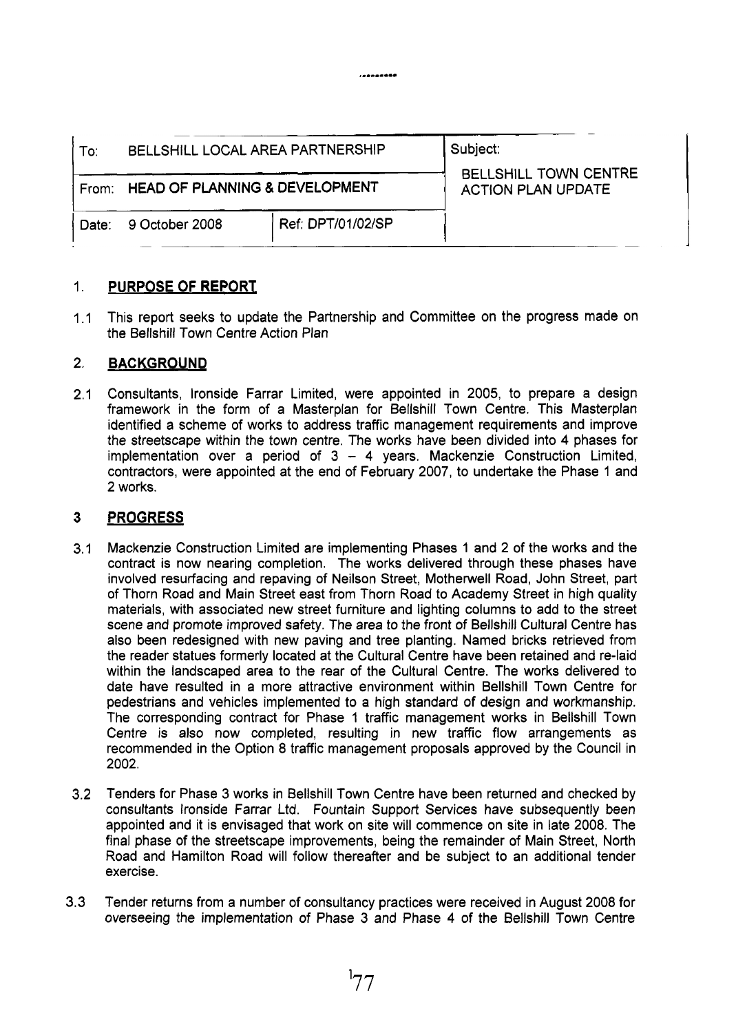| To:   | BELLSHILL LOCAL AREA PARTNERSHIP     |                   | Subject:<br><b>BELLSHILL TOWN CENTRE</b><br><b>ACTION PLAN UPDATE</b> |
|-------|--------------------------------------|-------------------|-----------------------------------------------------------------------|
|       | From: HEAD OF PLANNING & DEVELOPMENT |                   |                                                                       |
| Date: | 9 October 2008                       | Ref: DPT/01/02/SP |                                                                       |

.........

### 1. **PURPOSE OF REPORT**

 $1.1$ This report seeks to update the Partnership and Committee on the progress made on the Bellshill Town Centre Action Plan

#### 2. **BACKGROUND**

2.1 Consultants, lronside Farrar Limited, were appointed in 2005, to prepare a design framework in the form of a Masterplan for Bellshill Town Centre. This Masterplan identified a scheme of works to address traffic management requirements and improve the streetscape within the town centre. The works have been divided into **4** phases for implementation over a period of 3 - **4** years. Mackenzie Construction Limited, contractors, were appointed at the end of February 2007, to undertake the Phase 1 and **2** works.

#### **3 PROGRESS**

- 3.1 Mackenzie Construction Limited are implementing Phases 1 and 2 of the works and the contract is now nearing completion. The works delivered through these phases have involved resurfacing and repaving of Neilson Street, Motherwell Road, John Street, part of Thorn Road and Main Street east from Thorn Road to Academy Street in high quality materials, with associated new street furniture and lighting columns to add to the street scene and promote improved safety. The area to the front of Bellshill Cultural Centre has also been redesigned with new paving and tree planting. Named bricks retrieved from the reader statues formerly located at the Cultural Centre have been retained and re-laid within the landscaped area to the rear of the Cultural Centre. The works delivered to date have resulted in a more attractive environment within Bellshill Town Centre for pedestrians and vehicles implemented to a high standard of design and workmanship. The corresponding contract for Phase 1 traffic management works in Bellshill Town Centre is also now completed, resulting in new traffic flow arrangements as recommended in the Option 8 traffic management proposals approved by the Council in 2002.
- 3.2 Tenders for Phase 3 works in Bellshill Town Centre have been returned and checked by consultants lronside Farrar Ltd. Fountain Support Services have subsequently been appointed and it is envisaged that work on site will commence on site in late 2008. The final phase of the streetscape improvements, being the remainder of Main Street, North Road and Hamilton Road will follow thereafter and be subject to an additional tender exercise.
- 3.3 Tender returns from a number of consultancy practices were received in August 2008 for overseeing the implementation of Phase 3 and Phase **4** of the Bellshill Town Centre